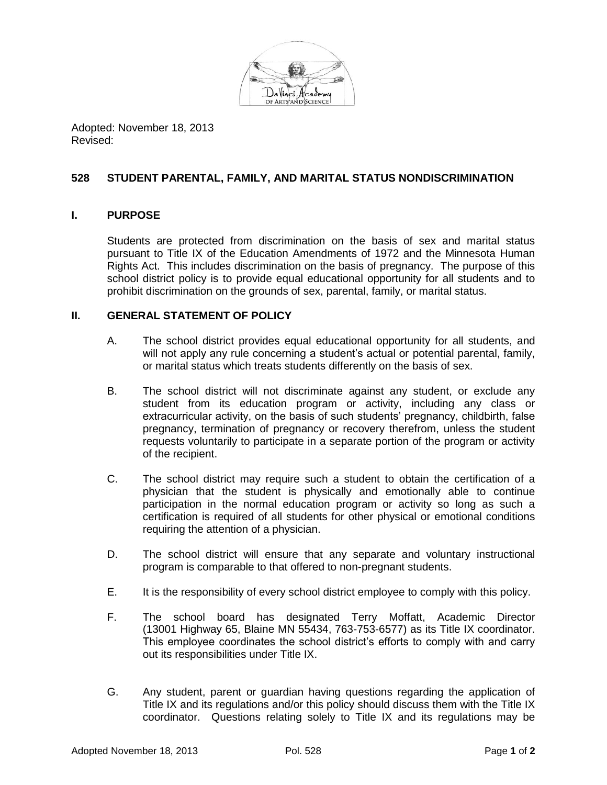

Adopted: November 18, 2013 Revised:

## **528 STUDENT PARENTAL, FAMILY, AND MARITAL STATUS NONDISCRIMINATION**

## **I. PURPOSE**

Students are protected from discrimination on the basis of sex and marital status pursuant to Title IX of the Education Amendments of 1972 and the Minnesota Human Rights Act. This includes discrimination on the basis of pregnancy. The purpose of this school district policy is to provide equal educational opportunity for all students and to prohibit discrimination on the grounds of sex, parental, family, or marital status.

## **II. GENERAL STATEMENT OF POLICY**

- A. The school district provides equal educational opportunity for all students, and will not apply any rule concerning a student's actual or potential parental, family, or marital status which treats students differently on the basis of sex.
- B. The school district will not discriminate against any student, or exclude any student from its education program or activity, including any class or extracurricular activity, on the basis of such students' pregnancy, childbirth, false pregnancy, termination of pregnancy or recovery therefrom, unless the student requests voluntarily to participate in a separate portion of the program or activity of the recipient.
- C. The school district may require such a student to obtain the certification of a physician that the student is physically and emotionally able to continue participation in the normal education program or activity so long as such a certification is required of all students for other physical or emotional conditions requiring the attention of a physician.
- D. The school district will ensure that any separate and voluntary instructional program is comparable to that offered to non-pregnant students.
- E. It is the responsibility of every school district employee to comply with this policy.
- F. The school board has designated Terry Moffatt, Academic Director (13001 Highway 65, Blaine MN 55434, 763-753-6577) as its Title IX coordinator. This employee coordinates the school district's efforts to comply with and carry out its responsibilities under Title IX.
- G. Any student, parent or guardian having questions regarding the application of Title IX and its regulations and/or this policy should discuss them with the Title IX coordinator. Questions relating solely to Title IX and its regulations may be